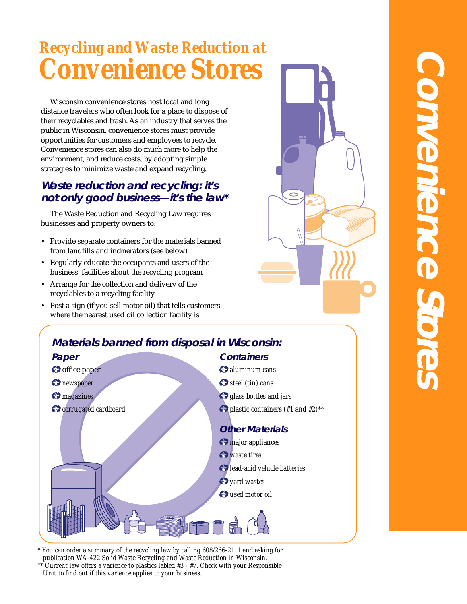# *Recycling and Waste Reduction at Convenience Stores*

Wisconsin convenience stores host local and long distance travelers who often look for a place to dispose of their recyclables and trash. As an industry that serves the public in Wisconsin, convenience stores must provide opportunities for customers and employees to recycle. Convenience stores can also do much more to help the environment, and reduce costs, by adopting simple strategies to minimize waste and expand recycling.

# **Waste reduction and recycling: it's not only good business—it's the law\***

The Waste Reduction and Recycling Law requires businesses and property owners to:

- Provide separate containers for the materials banned from landfills and incinerators (see below)
- Regularly educate the occupants and users of the business' facilities about the recycling program
- Arrange for the collection and delivery of the recyclables to a recycling facility
- Post a sign (if you sell motor oil) that tells customers where the nearest used oil collection facility is





*\* You can order a summary of the recycling law by calling 608/266-2111 and asking for publication WA-422 Solid Waste Recycling and Waste Reduction in Wisconsin. \*\* Current law offers a varience to plastics labled #3 - #7. Check with your Responsible Unit to find out if this varience applies to your business.*

# **Convenience Stores** CONNEMERCE Store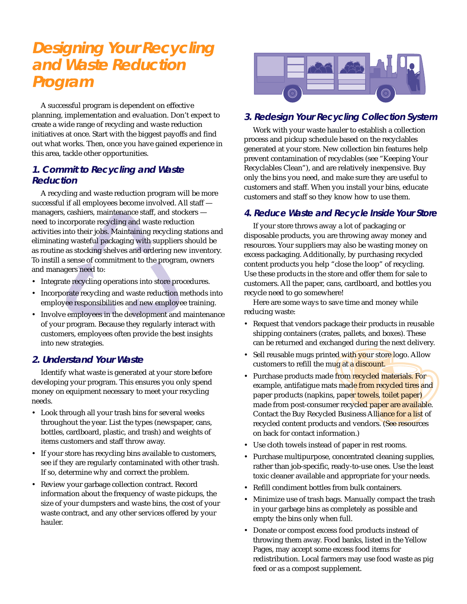# **Designing Your Recycling and Waste Reduction Program**

A successful program is dependent on effective planning, implementation and evaluation. Don't expect to create a wide range of recycling and waste reduction initiatives at once. Start with the biggest payoffs and find out what works. Then, once you have gained experience in this area, tackle other opportunities.

# **1. Commit to Recycling and Waste Reduction**

A recycling and waste reduction program will be more successful if all employees become involved. All staff managers, cashiers, maintenance staff, and stockers need to incorporate recycling and waste reduction activities into their jobs. Maintaining recycling stations and eliminating wasteful packaging with suppliers should be as routine as stocking shelves and ordering new inventory. To instill a sense of commitment to the program, owners and managers need to:

- Integrate recycling operations into store procedures.
- Incorporate recycling and waste reduction methods into employee responsibilities and new employee training.
- Involve employees in the development and maintenance of your program. Because they regularly interact with customers, employees often provide the best insights into new strategies.

# **2. Understand Your Waste**

Identify what waste is generated at your store before developing your program. This ensures you only spend money on equipment necessary to meet your recycling needs.

- Look through all your trash bins for several weeks throughout the year. List the types (newspaper, cans, bottles, cardboard, plastic, and trash) and weights of items customers and staff throw away.
- If your store has recycling bins available to customers, see if they are regularly contaminated with other trash. If so, determine why and correct the problem.
- Review your garbage collection contract. Record information about the frequency of waste pickups, the size of your dumpsters and waste bins, the cost of your waste contract, and any other services offered by your hauler.



# **3. Redesign Your Recycling Collection System**

Work with your waste hauler to establish a collection process and pickup schedule based on the recyclables generated at your store. New collection bin features help prevent contamination of recyclables (see "Keeping Your Recyclables Clean"), and are relatively inexpensive. Buy only the bins you need, and make sure they are useful to customers and staff. When you install your bins, educate customers and staff so they know how to use them.

# **4. Reduce Waste and Recycle Inside Your Store**

If your store throws away a lot of packaging or disposable products, you are throwing away money and resources. Your suppliers may also be wasting money on excess packaging. Additionally, by purchasing recycled content products you help "close the loop" of recycling. Use these products in the store and offer them for sale to customers. All the paper, cans, cardboard, and bottles you recycle need to go somewhere!

Here are some ways to save time and money while reducing waste:

- Request that vendors package their products in reusable shipping containers (crates, pallets, and boxes). These can be returned and exchanged during the next delivery.
- Sell reusable mugs printed with your store logo. Allow customers to refill the mug at a discount.
- Purchase products made from recycled materials. For example, antifatigue mats made from recycled tires and paper products (napkins, paper towels, toilet paper) made from post-consumer recycled paper are available. Contact the Buy Recycled Business Alliance for a list of recycled content products and vendors. (See resources on back for contact information.)
- Use cloth towels instead of paper in rest rooms.
- Purchase multipurpose, concentrated cleaning supplies, rather than job-specific, ready-to-use ones. Use the least toxic cleaner available and appropriate for your needs.
- Refill condiment bottles from bulk containers.
- Minimize use of trash bags. Manually compact the trash in your garbage bins as completely as possible and empty the bins only when full.
- Donate or compost excess food products instead of throwing them away. Food banks, listed in the Yellow Pages, may accept some excess food items for redistribution. Local farmers may use food waste as pig feed or as a compost supplement.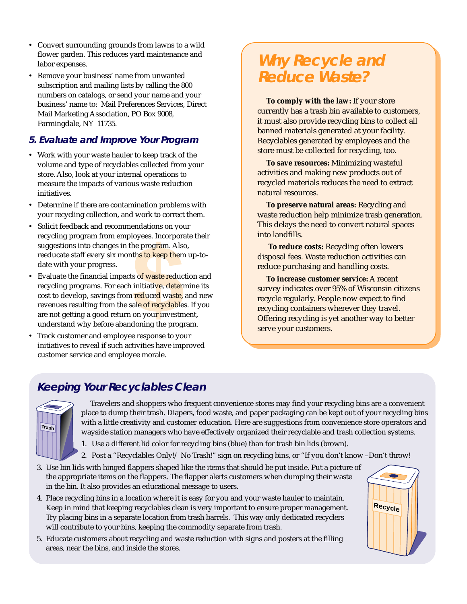- Convert surrounding grounds from lawns to a wild flower garden. This reduces yard maintenance and labor expenses.
- Remove your business' name from unwanted subscription and mailing lists by calling the 800 numbers on catalogs, or send your name and your business' name to: Mail Preferences Services, Direct Mail Marketing Association, PO Box 9008, Farmingdale, NY 11735.

# **5. Evaluate and Improve Your Program**

- Work with your waste hauler to keep track of the volume and type of recyclables collected from your store. Also, look at your internal operations to measure the impacts of various waste reduction initiatives.
- Determine if there are contamination problems with your recycling collection, and work to correct them.
- Solicit feedback and recommendations on your recycling program from employees. Incorporate their suggestions into changes in the program. Also, reeducate staff every six months to keep them up-todate with your progress.
- byees. Incorpora<br>
the program. Also<br>
th<mark>s to keep the</mark>m<br>
s of waste reduce<br>
initiative, deterneduced<br>
ale of recyclables<br>
on your investmedoning the program • Evaluate the financial impacts of waste reduction and recycling programs. For each initiative, determine its cost to develop, savings from reduced waste, and new revenues resulting from the sale of recyclables. If you are not getting a good return on your investment, understand why before abandoning the program.
- Track customer and employee response to your initiatives to reveal if such activities have improved customer service and employee morale.

# **Why Recycle and Reduce Waste?**

**To comply with the law:** If your store currently has a trash bin available to customers, it must also provide recycling bins to collect all banned materials generated at your facility. Recyclables generated by employees and the store must be collected for recycling, too.

**To save resources:** Minimizing wasteful activities and making new products out of recycled materials reduces the need to extract natural resources.

**To preserve natural areas:** Recycling and waste reduction help minimize trash generation. This delays the need to convert natural spaces into landfills.

**To reduce costs:** Recycling often lowers disposal fees. Waste reduction activities can reduce purchasing and handling costs.

**To increase customer service:** A recent survey indicates over 95% of Wisconsin citizens recycle regularly. People now expect to find recycling containers wherever they travel. Offering recycling is yet another way to better serve your customers.

# **Keeping Your Recyclables Clean**



Travelers and shoppers who frequent convenience stores may find your recycling bins are a convenient place to dump their trash. Diapers, food waste, and paper packaging can be kept out of your recycling bins with a little creativity and customer education. Here are suggestions from convenience store operators and wayside station managers who have effectively organized their recyclable and trash collection systems.

- 1. Use a different lid color for recycling bins (blue) than for trash bin lids (brown).
- 2. Post a "Recyclables Only!/ No Trash!" sign on recycling bins, or "If you don't know –Don't throw!
- 3. Use bin lids with hinged flappers shaped like the items that should be put inside. Put a picture of the appropriate items on the flappers. The flapper alerts customers when dumping their waste in the bin. It also provides an educational message to users.
- 4. Place recycling bins in a location where it is easy for you and your waste hauler to maintain. Keep in mind that keeping recyclables clean is very important to ensure proper management. Try placing bins in a separate location from trash barrels. This way only dedicated recyclers will contribute to your bins, keeping the commodity separate from trash.
- 5. Educate customers about recycling and waste reduction with signs and posters at the filling areas, near the bins, and inside the stores.